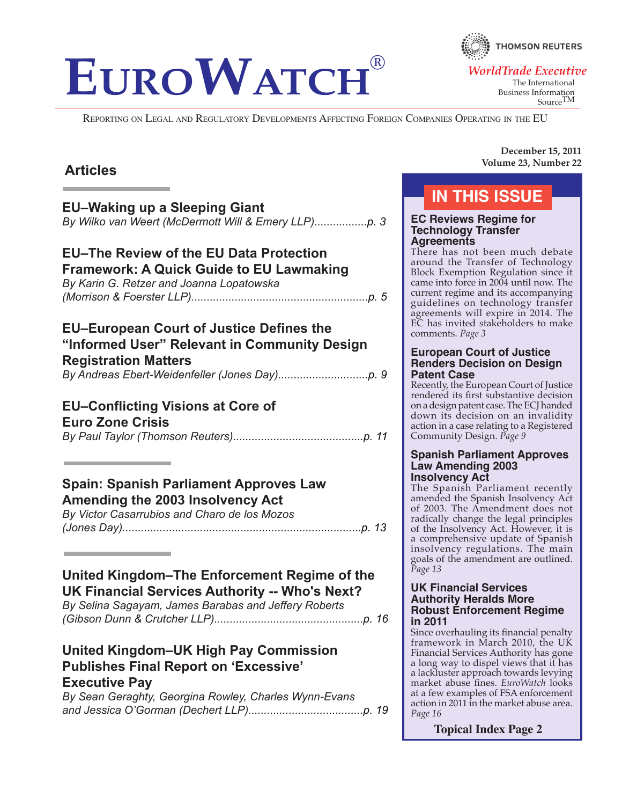# **EUROWATCH**



The International Business Information SourceTM *WorldTrade Executive*

Reporting on Legal and Regulatory Developments Affecting Foreign Companies Operating in the EU

# **Articles**

| <b>EU-Waking up a Sleeping Giant</b> |                                                     |  |
|--------------------------------------|-----------------------------------------------------|--|
|                                      | By Wilko van Weert (McDermott Will & Emery LLP)p. 3 |  |

### **EU–The Review of the EU Data Protection Framework: A Quick Guide to EU Lawmaking**

*By Karin G. Retzer and Joanna Lopatowska (Morrison & Foerster LLP).........................................................p. 5*

# **EU–European Court of Justice Defines the "Informed User" Relevant in Community Design Registration Matters**

*By Andreas Ebert-Weidenfeller (Jones Day).............................p. 9*

# **EU–Conflicting Visions at Core of**

**Euro Zone Crisis** *By Paul Taylor (Thomson Reuters)..........................................p. 11*

# **Spain: Spanish Parliament Approves Law Amending the 2003 Insolvency Act**

*By Victor Casarrubios and Charo de los Mozos (Jones Day).............................................................................p. 13*

# **United Kingdom–The Enforcement Regime of the UK Financial Services Authority -- Who's Next?**

*By Selina Sagayam, James Barabas and Jeffery Roberts (Gibson Dunn & Crutcher LLP)................................................p. 16*

# **United Kingdom–UK High Pay Commission Publishes Final Report on 'Excessive' Executive Pay**

*By Sean Geraghty, Georgina Rowley, Charles Wynn-Evans and Jessica O'Gorman (Dechert LLP).....................................p. 19*

### **December 15, 2011 Volume 23, Number 22**

# **In This Issue**

### **EC Reviews Regime for Technology Transfer Agreements**

There has not been much debate around the Transfer of Technology Block Exemption Regulation since it came into force in 2004 until now. The current regime and its accompanying guidelines on technology transfer agreements will expire in 2014. The EC has invited stakeholders to make comments. *Page 3*

### **European Court of Justice Renders Decision on Design Patent Case**

Recently, the European Court of Justice rendered its first substantive decision on a design patent case. The ECJ handed down its decision on an invalidity action in a case relating to a Registered Community Design. *Page 9*

### **Spanish Parliament Approves Law Amending 2003 Insolvency Act**

The Spanish Parliament recently amended the Spanish Insolvency Act of 2003. The Amendment does not radically change the legal principles of the Insolvency Act. However, it is a comprehensive update of Spanish insolvency regulations. The main goals of the amendment are outlined. *Page 13*

### **UK Financial Services Authority Heralds More Robust Enforcement Regime in 2011**

Since overhauling its financial penalty framework in March 2010, the UK Financial Services Authority has gone a long way to dispel views that it has a lackluster approach towards levying market abuse fines. *EuroWatch* looks at a few examples of FSA enforcement action in 2011 in the market abuse area. *Page 16*

**Topical Index Page 2**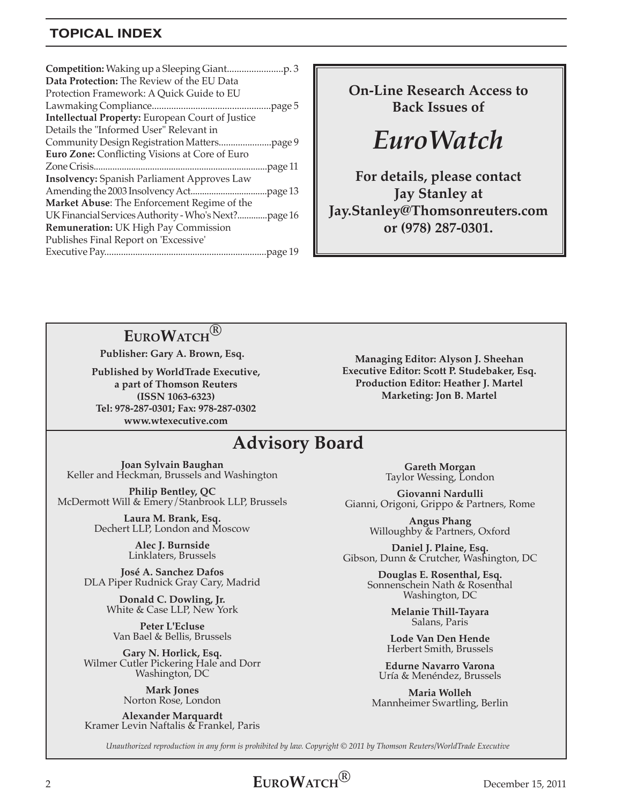# **Topical index**

**On-Line Research Access to Back Issues of**

# *EuroWatch*

**For details, please contact Jay Stanley at Jay.Stanley@Thomsonreuters.com or (978) 287-0301.**

# **EuroWatch®**

**Publisher: Gary A. Brown, Esq.**

**Published by WorldTrade Executive, a part of Thomson Reuters (ISSN 1063-6323) Tel: 978-287-0301; Fax: 978-287-0302 www.wtexecutive.com**

**Managing Editor: Alyson J. Sheehan Executive Editor: Scott P. Studebaker, Esq. Production Editor: Heather J. Martel Marketing: Jon B. Martel**

# **Advisory Board**

**Joan Sylvain Baughan** Keller and Heckman, Brussels and Washington

**Philip Bentley, QC** McDermott Will & Emery/Stanbrook LLP, Brussels

> **Laura M. Brank, Esq.** Dechert LLP, London and Moscow

> > **Alec J. Burnside** Linklaters, Brussels

**José A. Sanchez Dafos** DLA Piper Rudnick Gray Cary, Madrid

> **Donald C. Dowling, Jr.** White & Case LLP, New York

**Peter L'Ecluse** Van Bael & Bellis, Brussels

**Gary N. Horlick, Esq.**  Wilmer Cutler Pickering Hale and Dorr Washington, DC

> **Mark Jones** Norton Rose, London

**Alexander Marquardt** Kramer Levin Naftalis & Frankel, Paris

**Gareth Morgan** Taylor Wessing, London

**Giovanni Nardulli** Gianni, Origoni, Grippo & Partners, Rome

> **Angus Phang** Willoughby & Partners, Oxford

**Daniel J. Plaine, Esq.** Gibson, Dunn & Crutcher, Washington, DC

> **Douglas E. Rosenthal, Esq.**  Sonnenschein Nath & Rosenthal Washington, DC

> > **Melanie Thill-Tayara**  Salans, Paris

**Lode Van Den Hende** Herbert Smith, Brussels

**Edurne Navarro Varona** Uría & Menéndez, Brussels

**Maria Wolleh** Mannheimer Swartling, Berlin

*Unauthorized reproduction in any form is prohibited by law. Copyright* © *2011 by Thomson Reuters/WorldTrade Executive*

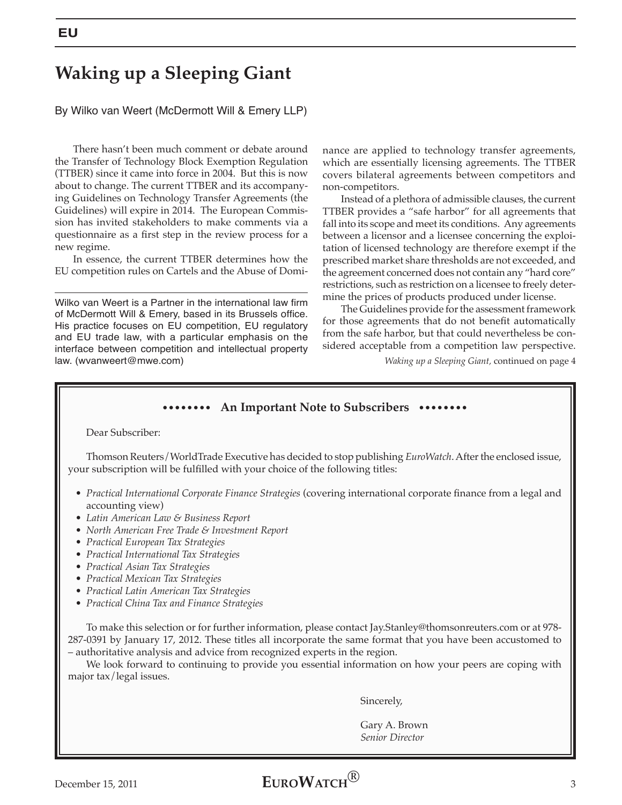# **Waking up a Sleeping Giant**

By Wilko van Weert (McDermott Will & Emery LLP)

There hasn't been much comment or debate around the Transfer of Technology Block Exemption Regulation (TTBER) since it came into force in 2004. But this is now about to change. The current TTBER and its accompanying Guidelines on Technology Transfer Agreements (the Guidelines) will expire in 2014. The European Commission has invited stakeholders to make comments via a questionnaire as a first step in the review process for a new regime.

In essence, the current TTBER determines how the EU competition rules on Cartels and the Abuse of Domi-

Wilko van Weert is a Partner in the international law firm of McDermott Will & Emery, based in its Brussels office. His practice focuses on EU competition, EU regulatory and EU trade law, with a particular emphasis on the interface between competition and intellectual property law. (wvanweert@mwe.com)

nance are applied to technology transfer agreements, which are essentially licensing agreements. The TTBER covers bilateral agreements between competitors and non-competitors.

Instead of a plethora of admissible clauses, the current TTBER provides a "safe harbor" for all agreements that fall into its scope and meet its conditions. Any agreements between a licensor and a licensee concerning the exploitation of licensed technology are therefore exempt if the prescribed market share thresholds are not exceeded, and the agreement concerned does not contain any "hard core" restrictions, such as restriction on a licensee to freely determine the prices of products produced under license.

The Guidelines provide for the assessment framework for those agreements that do not benefit automatically from the safe harbor, but that could nevertheless be considered acceptable from a competition law perspective.

*Waking up a Sleeping Giant,* continued on page 4

### •••••••• **An Important Note to Subscribers** ••••••••

Dear Subscriber:

Thomson Reuters/WorldTrade Executive has decided to stop publishing *EuroWatch*. After the enclosed issue, your subscription will be fulfilled with your choice of the following titles:

- *Practical International Corporate Finance Strategies* (covering international corporate finance from a legal and accounting view)
- *Latin American Law & Business Report*
- *North American Free Trade & Investment Report*
- *Practical European Tax Strategies*
- *Practical International Tax Strategies*
- *Practical Asian Tax Strategies*
- *Practical Mexican Tax Strategies*
- *Practical Latin American Tax Strategies*
- *Practical China Tax and Finance Strategies*

To make this selection or for further information, please contact Jay.Stanley@thomsonreuters.com or at 978- 287-0391 by January 17, 2012. These titles all incorporate the same format that you have been accustomed to – authoritative analysis and advice from recognized experts in the region.

We look forward to continuing to provide you essential information on how your peers are coping with major tax/legal issues.

Sincerely,

 Gary A. Brown *Senior Director*

December 15, 2011 **EUROWATCH**<sup><sup>®</sup> 3</sup>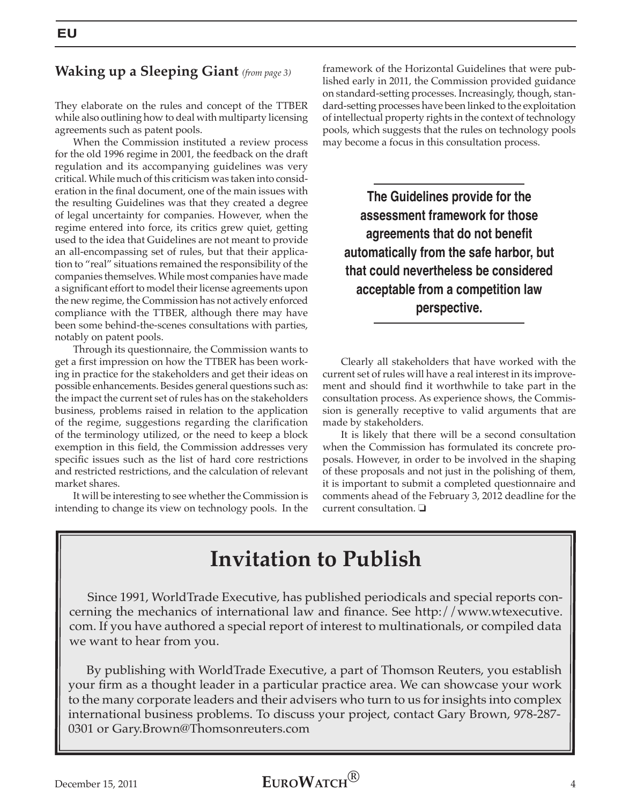## **Waking up a Sleeping Giant** *(from page 3)*

They elaborate on the rules and concept of the TTBER while also outlining how to deal with multiparty licensing agreements such as patent pools.

When the Commission instituted a review process for the old 1996 regime in 2001, the feedback on the draft regulation and its accompanying guidelines was very critical. While much of this criticism was taken into consideration in the final document, one of the main issues with the resulting Guidelines was that they created a degree of legal uncertainty for companies. However, when the regime entered into force, its critics grew quiet, getting used to the idea that Guidelines are not meant to provide an all-encompassing set of rules, but that their application to "real" situations remained the responsibility of the companies themselves. While most companies have made a significant effort to model their license agreements upon the new regime, the Commission has not actively enforced compliance with the TTBER, although there may have been some behind-the-scenes consultations with parties, notably on patent pools.

Through its questionnaire, the Commission wants to get a first impression on how the TTBER has been working in practice for the stakeholders and get their ideas on possible enhancements. Besides general questions such as: the impact the current set of rules has on the stakeholders business, problems raised in relation to the application of the regime, suggestions regarding the clarification of the terminology utilized, or the need to keep a block exemption in this field, the Commission addresses very specific issues such as the list of hard core restrictions and restricted restrictions, and the calculation of relevant market shares.

It will be interesting to see whether the Commission is intending to change its view on technology pools. In the framework of the Horizontal Guidelines that were published early in 2011, the Commission provided guidance on standard-setting processes. Increasingly, though, standard-setting processes have been linked to the exploitation of intellectual property rights in the context of technology pools, which suggests that the rules on technology pools may become a focus in this consultation process.

**The Guidelines provide for the assessment framework for those agreements that do not benefit automatically from the safe harbor, but that could nevertheless be considered acceptable from a competition law perspective.** 

Clearly all stakeholders that have worked with the current set of rules will have a real interest in its improvement and should find it worthwhile to take part in the consultation process. As experience shows, the Commission is generally receptive to valid arguments that are made by stakeholders.

It is likely that there will be a second consultation when the Commission has formulated its concrete proposals. However, in order to be involved in the shaping of these proposals and not just in the polishing of them, it is important to submit a completed questionnaire and comments ahead of the February 3, 2012 deadline for the current consultation.  $\square$ 

# **Invitation to Publish**

Since 1991, WorldTrade Executive, has published periodicals and special reports concerning the mechanics of international law and finance. See http://www.wtexecutive. com. If you have authored a special report of interest to multinationals, or compiled data we want to hear from you.

By publishing with WorldTrade Executive, a part of Thomson Reuters, you establish your firm as a thought leader in a particular practice area. We can showcase your work to the many corporate leaders and their advisers who turn to us for insights into complex international business problems. To discuss your project, contact Gary Brown, 978-287- 0301 or Gary.Brown@Thomsonreuters.com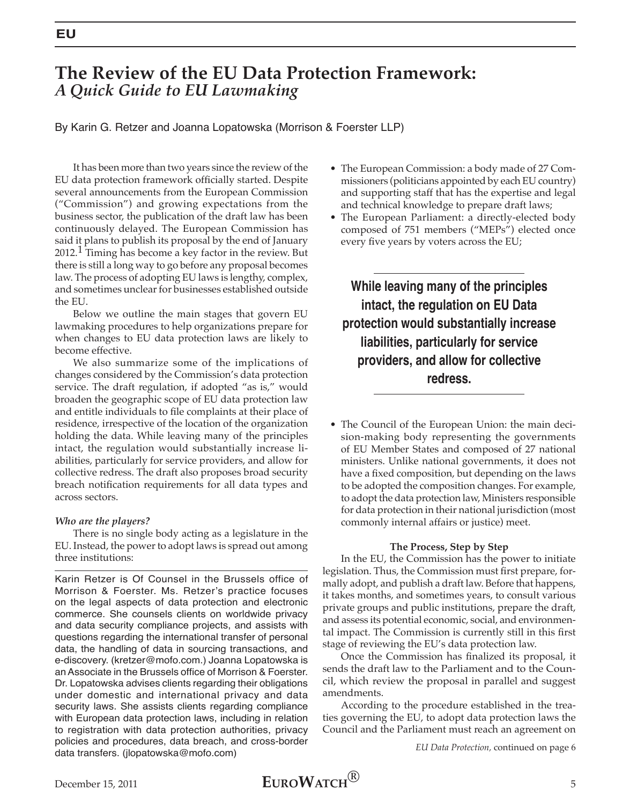# **The Review of the EU Data Protection Framework:**  *A Quick Guide to EU Lawmaking*

By Karin G. Retzer and Joanna Lopatowska (Morrison & Foerster LLP)

It has been more than two years since the review of the EU data protection framework officially started. Despite several announcements from the European Commission ("Commission") and growing expectations from the business sector, the publication of the draft law has been continuously delayed. The European Commission has said it plans to publish its proposal by the end of January 2012.<sup>1</sup> Timing has become a key factor in the review. But there is still a long way to go before any proposal becomes law. The process of adopting EU laws is lengthy, complex, and sometimes unclear for businesses established outside the EU.

Below we outline the main stages that govern EU lawmaking procedures to help organizations prepare for when changes to EU data protection laws are likely to become effective.

We also summarize some of the implications of changes considered by the Commission's data protection service. The draft regulation, if adopted "as is," would broaden the geographic scope of EU data protection law and entitle individuals to file complaints at their place of residence, irrespective of the location of the organization holding the data. While leaving many of the principles intact, the regulation would substantially increase liabilities, particularly for service providers, and allow for collective redress. The draft also proposes broad security breach notification requirements for all data types and across sectors.

### *Who are the players?*

There is no single body acting as a legislature in the EU. Instead, the power to adopt laws is spread out among three institutions:

Karin Retzer is Of Counsel in the Brussels office of Morrison & Foerster. Ms. Retzer's practice focuses on the legal aspects of data protection and electronic commerce. She counsels clients on worldwide privacy and data security compliance projects, and assists with questions regarding the international transfer of personal data, the handling of data in sourcing transactions, and e-discovery. (kretzer@mofo.com.) Joanna Lopatowska is an Associate in the Brussels office of Morrison & Foerster. Dr. Lopatowska advises clients regarding their obligations under domestic and international privacy and data security laws. She assists clients regarding compliance with European data protection laws, including in relation to registration with data protection authorities, privacy policies and procedures, data breach, and cross-border data transfers. (jlopatowska@mofo.com)

- The European Commission: a body made of 27 Commissioners (politicians appointed by each EU country) and supporting staff that has the expertise and legal and technical knowledge to prepare draft laws;
- The European Parliament: a directly-elected body composed of 751 members ("MEPs") elected once every five years by voters across the EU;

**While leaving many of the principles intact, the regulation on EU Data protection would substantially increase liabilities, particularly for service providers, and allow for collective redress.** 

• The Council of the European Union: the main decision-making body representing the governments of EU Member States and composed of 27 national ministers. Unlike national governments, it does not have a fixed composition, but depending on the laws to be adopted the composition changes. For example, to adopt the data protection law, Ministers responsible for data protection in their national jurisdiction (most commonly internal affairs or justice) meet.

### **The Process, Step by Step**

In the EU, the Commission has the power to initiate legislation. Thus, the Commission must first prepare, formally adopt, and publish a draft law. Before that happens, it takes months, and sometimes years, to consult various private groups and public institutions, prepare the draft, and assess its potential economic, social, and environmental impact. The Commission is currently still in this first stage of reviewing the EU's data protection law.

Once the Commission has finalized its proposal, it sends the draft law to the Parliament and to the Council, which review the proposal in parallel and suggest amendments.

According to the procedure established in the treaties governing the EU, to adopt data protection laws the Council and the Parliament must reach an agreement on

*EU Data Protection,* continued on page 6

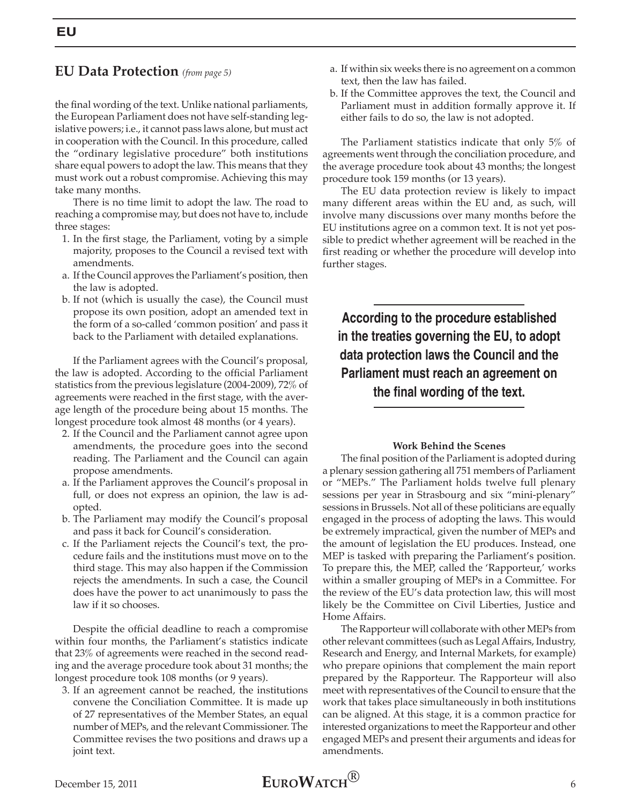### **EU Data Protection** *(from page 5)*

the final wording of the text. Unlike national parliaments, the European Parliament does not have self-standing legislative powers; i.e., it cannot pass laws alone, but must act in cooperation with the Council. In this procedure, called the "ordinary legislative procedure" both institutions share equal powers to adopt the law. This means that they must work out a robust compromise. Achieving this may take many months.

There is no time limit to adopt the law. The road to reaching a compromise may, but does not have to, include three stages:

- 1. In the first stage, the Parliament, voting by a simple majority, proposes to the Council a revised text with amendments.
- a. If the Council approves the Parliament's position, then the law is adopted.
- b. If not (which is usually the case), the Council must propose its own position, adopt an amended text in the form of a so-called 'common position' and pass it back to the Parliament with detailed explanations.

If the Parliament agrees with the Council's proposal, the law is adopted. According to the official Parliament statistics from the previous legislature (2004-2009), 72% of agreements were reached in the first stage, with the average length of the procedure being about 15 months. The longest procedure took almost 48 months (or 4 years).

- 2. If the Council and the Parliament cannot agree upon amendments, the procedure goes into the second reading. The Parliament and the Council can again propose amendments.
- a. If the Parliament approves the Council's proposal in full, or does not express an opinion, the law is adopted.
- b. The Parliament may modify the Council's proposal and pass it back for Council's consideration.
- c. If the Parliament rejects the Council's text, the procedure fails and the institutions must move on to the third stage. This may also happen if the Commission rejects the amendments. In such a case, the Council does have the power to act unanimously to pass the law if it so chooses.

Despite the official deadline to reach a compromise within four months, the Parliament's statistics indicate that 23% of agreements were reached in the second reading and the average procedure took about 31 months; the longest procedure took 108 months (or 9 years).

3. If an agreement cannot be reached, the institutions convene the Conciliation Committee. It is made up of 27 representatives of the Member States, an equal number of MEPs, and the relevant Commissioner. The Committee revises the two positions and draws up a joint text.

- a. If within six weeks there is no agreement on a common text, then the law has failed.
- b. If the Committee approves the text, the Council and Parliament must in addition formally approve it. If either fails to do so, the law is not adopted.

The Parliament statistics indicate that only 5% of agreements went through the conciliation procedure, and the average procedure took about 43 months; the longest procedure took 159 months (or 13 years).

The EU data protection review is likely to impact many different areas within the EU and, as such, will involve many discussions over many months before the EU institutions agree on a common text. It is not yet possible to predict whether agreement will be reached in the first reading or whether the procedure will develop into further stages.

**According to the procedure established in the treaties governing the EU, to adopt data protection laws the Council and the Parliament must reach an agreement on the final wording of the text.** 

#### **Work Behind the Scenes**

The final position of the Parliament is adopted during a plenary session gathering all 751 members of Parliament or "MEPs." The Parliament holds twelve full plenary sessions per year in Strasbourg and six "mini-plenary" sessions in Brussels. Not all of these politicians are equally engaged in the process of adopting the laws. This would be extremely impractical, given the number of MEPs and the amount of legislation the EU produces. Instead, one MEP is tasked with preparing the Parliament's position. To prepare this, the MEP, called the 'Rapporteur,' works within a smaller grouping of MEPs in a Committee. For the review of the EU's data protection law, this will most likely be the Committee on Civil Liberties, Justice and Home Affairs.

The Rapporteur will collaborate with other MEPs from other relevant committees (such as Legal Affairs, Industry, Research and Energy, and Internal Markets, for example) who prepare opinions that complement the main report prepared by the Rapporteur. The Rapporteur will also meet with representatives of the Council to ensure that the work that takes place simultaneously in both institutions can be aligned. At this stage, it is a common practice for interested organizations to meet the Rapporteur and other engaged MEPs and present their arguments and ideas for amendments.

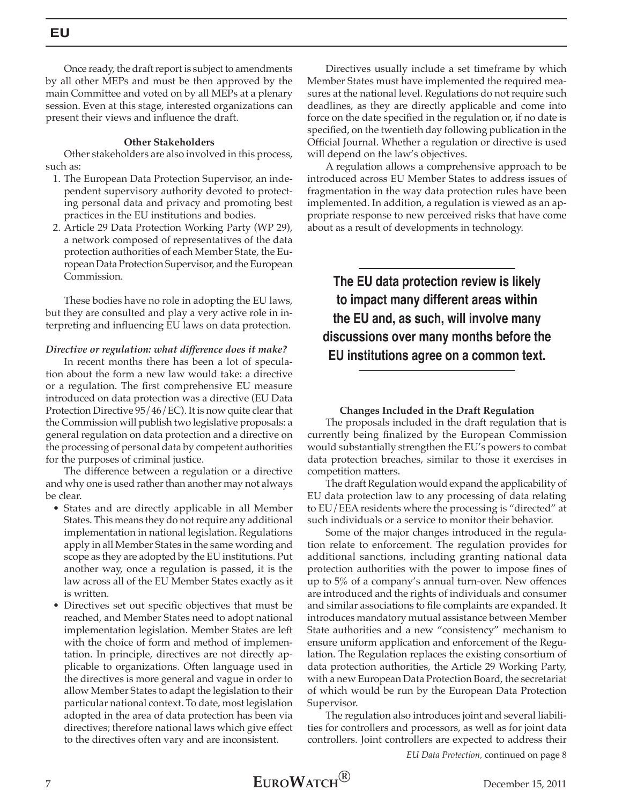Once ready, the draft report is subject to amendments by all other MEPs and must be then approved by the main Committee and voted on by all MEPs at a plenary session. Even at this stage, interested organizations can present their views and influence the draft.

#### **Other Stakeholders**

Other stakeholders are also involved in this process, such as:

- 1. The European Data Protection Supervisor, an independent supervisory authority devoted to protecting personal data and privacy and promoting best practices in the EU institutions and bodies.
- 2. Article 29 Data Protection Working Party (WP 29), a network composed of representatives of the data protection authorities of each Member State, the European Data Protection Supervisor, and the European Commission.

These bodies have no role in adopting the EU laws, but they are consulted and play a very active role in interpreting and influencing EU laws on data protection.

### *Directive or regulation: what difference does it make?*

In recent months there has been a lot of speculation about the form a new law would take: a directive or a regulation. The first comprehensive EU measure introduced on data protection was a directive (EU Data Protection Directive 95/46/EC). It is now quite clear that the Commission will publish two legislative proposals: a general regulation on data protection and a directive on the processing of personal data by competent authorities for the purposes of criminal justice.

The difference between a regulation or a directive and why one is used rather than another may not always be clear.

- States and are directly applicable in all Member States. This means they do not require any additional implementation in national legislation. Regulations apply in all Member States in the same wording and scope as they are adopted by the EU institutions. Put another way, once a regulation is passed, it is the law across all of the EU Member States exactly as it is written.
- Directives set out specific objectives that must be reached, and Member States need to adopt national implementation legislation. Member States are left with the choice of form and method of implementation. In principle, directives are not directly applicable to organizations. Often language used in the directives is more general and vague in order to allow Member States to adapt the legislation to their particular national context. To date, most legislation adopted in the area of data protection has been via directives; therefore national laws which give effect to the directives often vary and are inconsistent.

Directives usually include a set timeframe by which Member States must have implemented the required measures at the national level. Regulations do not require such deadlines, as they are directly applicable and come into force on the date specified in the regulation or, if no date is specified, on the twentieth day following publication in the Official Journal. Whether a regulation or directive is used will depend on the law's objectives.

A regulation allows a comprehensive approach to be introduced across EU Member States to address issues of fragmentation in the way data protection rules have been implemented. In addition, a regulation is viewed as an appropriate response to new perceived risks that have come about as a result of developments in technology.

**The EU data protection review is likely to impact many different areas within the EU and, as such, will involve many discussions over many months before the EU institutions agree on a common text.** 

#### **Changes Included in the Draft Regulation**

The proposals included in the draft regulation that is currently being finalized by the European Commission would substantially strengthen the EU's powers to combat data protection breaches, similar to those it exercises in competition matters.

The draft Regulation would expand the applicability of EU data protection law to any processing of data relating to EU/EEA residents where the processing is "directed" at such individuals or a service to monitor their behavior.

Some of the major changes introduced in the regulation relate to enforcement. The regulation provides for additional sanctions, including granting national data protection authorities with the power to impose fines of up to 5% of a company's annual turn-over. New offences are introduced and the rights of individuals and consumer and similar associations to file complaints are expanded. It introduces mandatory mutual assistance between Member State authorities and a new "consistency" mechanism to ensure uniform application and enforcement of the Regulation. The Regulation replaces the existing consortium of data protection authorities, the Article 29 Working Party, with a new European Data Protection Board, the secretariat of which would be run by the European Data Protection Supervisor.

The regulation also introduces joint and several liabilities for controllers and processors, as well as for joint data controllers. Joint controllers are expected to address their

*EU Data Protection,* continued on page 8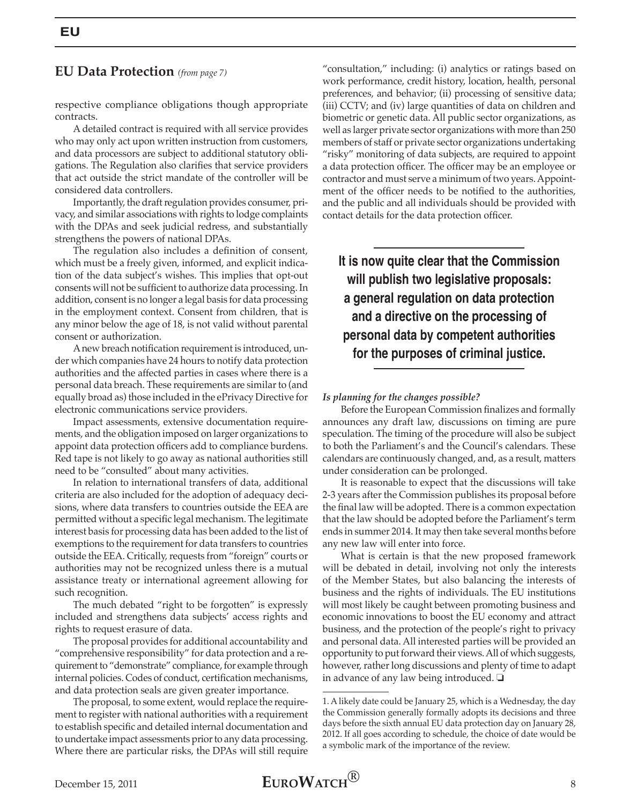### **EU Data Protection** *(from page 7)*

respective compliance obligations though appropriate contracts.

A detailed contract is required with all service provides who may only act upon written instruction from customers, and data processors are subject to additional statutory obligations. The Regulation also clarifies that service providers that act outside the strict mandate of the controller will be considered data controllers.

Importantly, the draft regulation provides consumer, privacy, and similar associations with rights to lodge complaints with the DPAs and seek judicial redress, and substantially strengthens the powers of national DPAs.

The regulation also includes a definition of consent, which must be a freely given, informed, and explicit indication of the data subject's wishes. This implies that opt-out consents will not be sufficient to authorize data processing. In addition, consent is no longer a legal basis for data processing in the employment context. Consent from children, that is any minor below the age of 18, is not valid without parental consent or authorization.

A new breach notification requirement is introduced, under which companies have 24 hours to notify data protection authorities and the affected parties in cases where there is a personal data breach. These requirements are similar to (and equally broad as) those included in the ePrivacy Directive for electronic communications service providers.

Impact assessments, extensive documentation requirements, and the obligation imposed on larger organizations to appoint data protection officers add to compliance burdens. Red tape is not likely to go away as national authorities still need to be "consulted" about many activities.

In relation to international transfers of data, additional criteria are also included for the adoption of adequacy decisions, where data transfers to countries outside the EEA are permitted without a specific legal mechanism. The legitimate interest basis for processing data has been added to the list of exemptions to the requirement for data transfers to countries outside the EEA. Critically, requests from "foreign" courts or authorities may not be recognized unless there is a mutual assistance treaty or international agreement allowing for such recognition.

The much debated "right to be forgotten" is expressly included and strengthens data subjects' access rights and rights to request erasure of data.

The proposal provides for additional accountability and "comprehensive responsibility" for data protection and a requirement to "demonstrate" compliance, for example through internal policies. Codes of conduct, certification mechanisms, and data protection seals are given greater importance.

The proposal, to some extent, would replace the requirement to register with national authorities with a requirement to establish specific and detailed internal documentation and to undertake impact assessments prior to any data processing. Where there are particular risks, the DPAs will still require

"consultation," including: (i) analytics or ratings based on work performance, credit history, location, health, personal preferences, and behavior; (ii) processing of sensitive data; (iii) CCTV; and (iv) large quantities of data on children and biometric or genetic data. All public sector organizations, as well as larger private sector organizations with more than 250 members of staff or private sector organizations undertaking "risky" monitoring of data subjects, are required to appoint a data protection officer. The officer may be an employee or contractor and must serve a minimum of two years. Appointment of the officer needs to be notified to the authorities, and the public and all individuals should be provided with contact details for the data protection officer.

**It is now quite clear that the Commission will publish two legislative proposals: a general regulation on data protection and a directive on the processing of personal data by competent authorities for the purposes of criminal justice.**

*Is planning for the changes possible?* 

Before the European Commission finalizes and formally announces any draft law, discussions on timing are pure speculation. The timing of the procedure will also be subject to both the Parliament's and the Council's calendars. These calendars are continuously changed, and, as a result, matters under consideration can be prolonged.

It is reasonable to expect that the discussions will take 2-3 years after the Commission publishes its proposal before the final law will be adopted. There is a common expectation that the law should be adopted before the Parliament's term ends in summer 2014. It may then take several months before any new law will enter into force.

What is certain is that the new proposed framework will be debated in detail, involving not only the interests of the Member States, but also balancing the interests of business and the rights of individuals. The EU institutions will most likely be caught between promoting business and economic innovations to boost the EU economy and attract business, and the protection of the people's right to privacy and personal data. All interested parties will be provided an opportunity to put forward their views. All of which suggests, however, rather long discussions and plenty of time to adapt in advance of any law being introduced.  $\Box$ 



<sup>1.</sup> A likely date could be January 25, which is a Wednesday, the day the Commission generally formally adopts its decisions and three days before the sixth annual EU data protection day on January 28, 2012. If all goes according to schedule, the choice of date would be a symbolic mark of the importance of the review.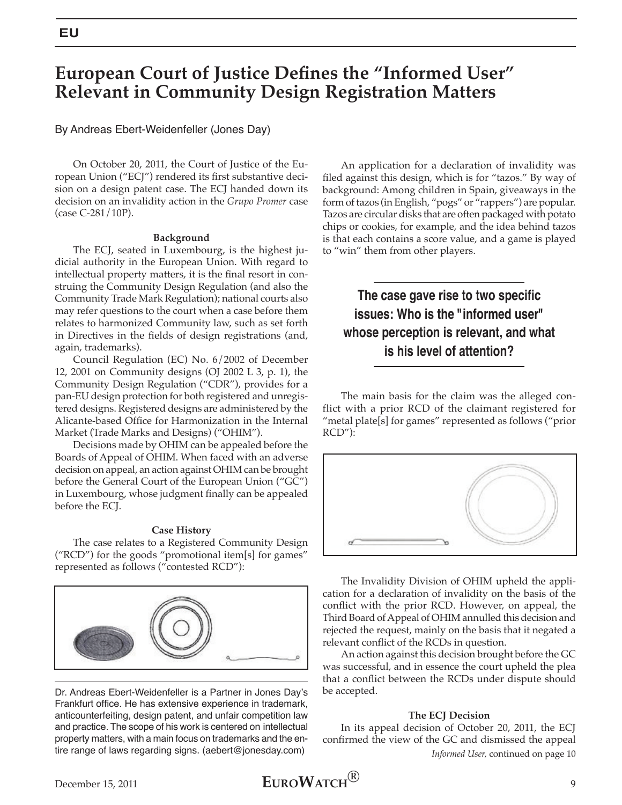# **European Court of Justice Defines the "Informed User" Relevant in Community Design Registration Matters**

By Andreas Ebert-Weidenfeller (Jones Day)

On October 20, 2011, the Court of Justice of the European Union ("ECJ") rendered its first substantive decision on a design patent case. The ECJ handed down its decision on an invalidity action in the *Grupo Promer* case (case C-281/10P).

### **Background**

The ECJ, seated in Luxembourg, is the highest judicial authority in the European Union. With regard to intellectual property matters, it is the final resort in construing the Community Design Regulation (and also the Community Trade Mark Regulation); national courts also may refer questions to the court when a case before them relates to harmonized Community law, such as set forth in Directives in the fields of design registrations (and, again, trademarks).

Council Regulation (EC) No. 6/2002 of December 12, 2001 on Community designs (OJ 2002 L 3, p. 1), the Community Design Regulation ("CDR"), provides for a pan-EU design protection for both registered and unregistered designs. Registered designs are administered by the Alicante-based Office for Harmonization in the Internal Market (Trade Marks and Designs) ("OHIM").

Decisions made by OHIM can be appealed before the Boards of Appeal of OHIM. When faced with an adverse decision on appeal, an action against OHIM can be brought before the General Court of the European Union ("GC") in Luxembourg, whose judgment finally can be appealed before the ECJ.

### **Case History**

The case relates to a Registered Community Design ("RCD") for the goods "promotional item[s] for games" represented as follows ("contested RCD"):



Dr. Andreas Ebert-Weidenfeller is a Partner in Jones Day's Frankfurt office. He has extensive experience in trademark, anticounterfeiting, design patent, and unfair competition law and practice. The scope of his work is centered on intellectual property matters, with a main focus on trademarks and the entire range of laws regarding signs. (aebert@jonesday.com)

An application for a declaration of invalidity was filed against this design, which is for "tazos." By way of background: Among children in Spain, giveaways in the form of tazos (in English, "pogs" or "rappers") are popular. Tazos are circular disks that are often packaged with potato chips or cookies, for example, and the idea behind tazos is that each contains a score value, and a game is played to "win" them from other players.

**The case gave rise to two specific issues: Who is the "informed user" whose perception is relevant, and what is his level of attention?**

The main basis for the claim was the alleged conflict with a prior RCD of the claimant registered for "metal plate[s] for games" represented as follows ("prior RCD"):



The Invalidity Division of OHIM upheld the application for a declaration of invalidity on the basis of the conflict with the prior RCD. However, on appeal, the Third Board of Appeal of OHIM annulled this decision and rejected the request, mainly on the basis that it negated a relevant conflict of the RCDs in question.

An action against this decision brought before the GC was successful, and in essence the court upheld the plea that a conflict between the RCDs under dispute should be accepted.

### **The ECJ Decision**

*Informed User,* continued on page 10 In its appeal decision of October 20, 2011, the ECJ confirmed the view of the GC and dismissed the appeal

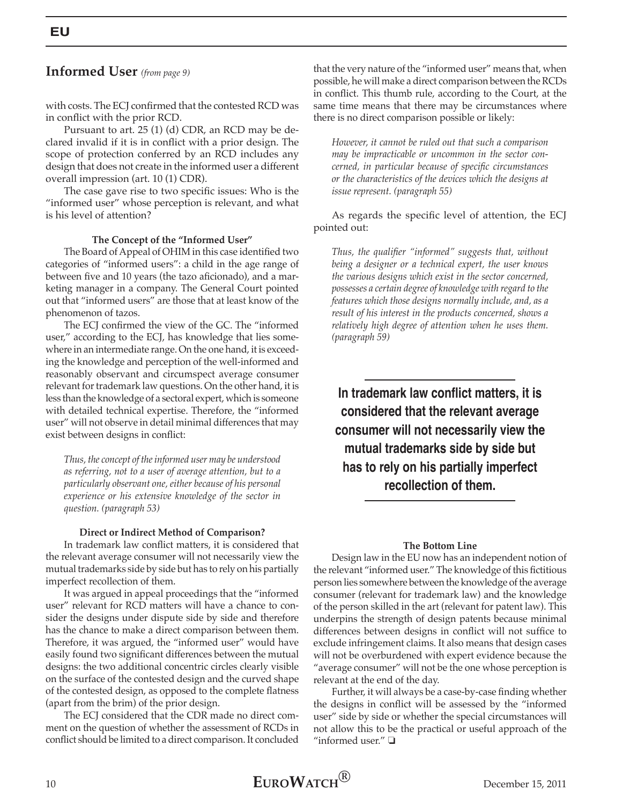### **Informed User** *(from page 9)*

with costs. The ECJ confirmed that the contested RCD was in conflict with the prior RCD.

Pursuant to art. 25 (1) (d) CDR, an RCD may be declared invalid if it is in conflict with a prior design. The scope of protection conferred by an RCD includes any design that does not create in the informed user a different overall impression (art. 10 (1) CDR).

The case gave rise to two specific issues: Who is the "informed user" whose perception is relevant, and what is his level of attention?

### **The Concept of the "Informed User"**

The Board of Appeal of OHIM in this case identified two categories of "informed users": a child in the age range of between five and 10 years (the tazo aficionado), and a marketing manager in a company. The General Court pointed out that "informed users" are those that at least know of the phenomenon of tazos.

The ECJ confirmed the view of the GC. The "informed user," according to the ECJ, has knowledge that lies somewhere in an intermediate range. On the one hand, it is exceeding the knowledge and perception of the well-informed and reasonably observant and circumspect average consumer relevant for trademark law questions. On the other hand, it is less than the knowledge of a sectoral expert, which is someone with detailed technical expertise. Therefore, the "informed user" will not observe in detail minimal differences that may exist between designs in conflict:

*Thus, the concept of the informed user may be understood as referring, not to a user of average attention, but to a particularly observant one, either because of his personal experience or his extensive knowledge of the sector in question. (paragraph 53)*

#### **Direct or Indirect Method of Comparison?**

In trademark law conflict matters, it is considered that the relevant average consumer will not necessarily view the mutual trademarks side by side but has to rely on his partially imperfect recollection of them.

It was argued in appeal proceedings that the "informed user" relevant for RCD matters will have a chance to consider the designs under dispute side by side and therefore has the chance to make a direct comparison between them. Therefore, it was argued, the "informed user" would have easily found two significant differences between the mutual designs: the two additional concentric circles clearly visible on the surface of the contested design and the curved shape of the contested design, as opposed to the complete flatness (apart from the brim) of the prior design.

The ECJ considered that the CDR made no direct comment on the question of whether the assessment of RCDs in conflict should be limited to a direct comparison. It concluded

that the very nature of the "informed user" means that, when possible, he will make a direct comparison between the RCDs in conflict. This thumb rule, according to the Court, at the same time means that there may be circumstances where there is no direct comparison possible or likely:

*However, it cannot be ruled out that such a comparison may be impracticable or uncommon in the sector concerned, in particular because of specific circumstances or the characteristics of the devices which the designs at issue represent. (paragraph 55)*

As regards the specific level of attention, the ECJ pointed out:

*Thus, the qualifier "informed" suggests that, without being a designer or a technical expert, the user knows the various designs which exist in the sector concerned, possesses a certain degree of knowledge with regard to the features which those designs normally include, and, as a result of his interest in the products concerned, shows a relatively high degree of attention when he uses them. (paragraph 59)*

**In trademark law conflict matters, it is considered that the relevant average consumer will not necessarily view the mutual trademarks side by side but has to rely on his partially imperfect recollection of them.**

#### **The Bottom Line**

Design law in the EU now has an independent notion of the relevant "informed user." The knowledge of this fictitious person lies somewhere between the knowledge of the average consumer (relevant for trademark law) and the knowledge of the person skilled in the art (relevant for patent law). This underpins the strength of design patents because minimal differences between designs in conflict will not suffice to exclude infringement claims. It also means that design cases will not be overburdened with expert evidence because the "average consumer" will not be the one whose perception is relevant at the end of the day.

Further, it will always be a case-by-case finding whether the designs in conflict will be assessed by the "informed user" side by side or whether the special circumstances will not allow this to be the practical or useful approach of the "informed user."  $\Box$ 

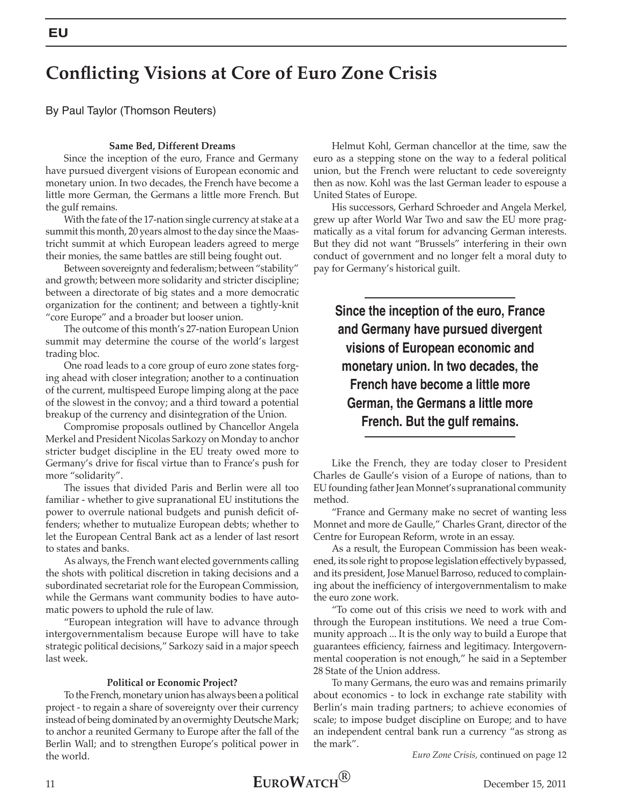# **Conflicting Visions at Core of Euro Zone Crisis**

By Paul Taylor (Thomson Reuters)

### **Same Bed, Different Dreams**

Since the inception of the euro, France and Germany have pursued divergent visions of European economic and monetary union. In two decades, the French have become a little more German, the Germans a little more French. But the gulf remains.

With the fate of the 17-nation single currency at stake at a summit this month, 20 years almost to the day since the Maastricht summit at which European leaders agreed to merge their monies, the same battles are still being fought out.

Between sovereignty and federalism; between "stability" and growth; between more solidarity and stricter discipline; between a directorate of big states and a more democratic organization for the continent; and between a tightly-knit "core Europe" and a broader but looser union.

The outcome of this month's 27-nation European Union summit may determine the course of the world's largest trading bloc.

One road leads to a core group of euro zone states forging ahead with closer integration; another to a continuation of the current, multispeed Europe limping along at the pace of the slowest in the convoy; and a third toward a potential breakup of the currency and disintegration of the Union.

Compromise proposals outlined by Chancellor Angela Merkel and President Nicolas Sarkozy on Monday to anchor stricter budget discipline in the EU treaty owed more to Germany's drive for fiscal virtue than to France's push for more "solidarity".

The issues that divided Paris and Berlin were all too familiar - whether to give supranational EU institutions the power to overrule national budgets and punish deficit offenders; whether to mutualize European debts; whether to let the European Central Bank act as a lender of last resort to states and banks.

As always, the French want elected governments calling the shots with political discretion in taking decisions and a subordinated secretariat role for the European Commission, while the Germans want community bodies to have automatic powers to uphold the rule of law.

"European integration will have to advance through intergovernmentalism because Europe will have to take strategic political decisions," Sarkozy said in a major speech last week.

#### **Political or Economic Project?**

To the French, monetary union has always been a political project - to regain a share of sovereignty over their currency instead of being dominated by an overmighty Deutsche Mark; to anchor a reunited Germany to Europe after the fall of the Berlin Wall; and to strengthen Europe's political power in the world.

Helmut Kohl, German chancellor at the time, saw the euro as a stepping stone on the way to a federal political union, but the French were reluctant to cede sovereignty then as now. Kohl was the last German leader to espouse a United States of Europe.

His successors, Gerhard Schroeder and Angela Merkel, grew up after World War Two and saw the EU more pragmatically as a vital forum for advancing German interests. But they did not want "Brussels" interfering in their own conduct of government and no longer felt a moral duty to pay for Germany's historical guilt.

**Since the inception of the euro, France and Germany have pursued divergent visions of European economic and monetary union. In two decades, the French have become a little more German, the Germans a little more French. But the gulf remains.**

Like the French, they are today closer to President Charles de Gaulle's vision of a Europe of nations, than to EU founding father Jean Monnet's supranational community method.

"France and Germany make no secret of wanting less Monnet and more de Gaulle," Charles Grant, director of the Centre for European Reform, wrote in an essay.

As a result, the European Commission has been weakened, its sole right to propose legislation effectively bypassed, and its president, Jose Manuel Barroso, reduced to complaining about the inefficiency of intergovernmentalism to make the euro zone work.

"To come out of this crisis we need to work with and through the European institutions. We need a true Community approach ... It is the only way to build a Europe that guarantees efficiency, fairness and legitimacy. Intergovernmental cooperation is not enough," he said in a September 28 State of the Union address.

To many Germans, the euro was and remains primarily about economics - to lock in exchange rate stability with Berlin's main trading partners; to achieve economies of scale; to impose budget discipline on Europe; and to have an independent central bank run a currency "as strong as the mark".

*Euro Zone Crisis,* continued on page 12

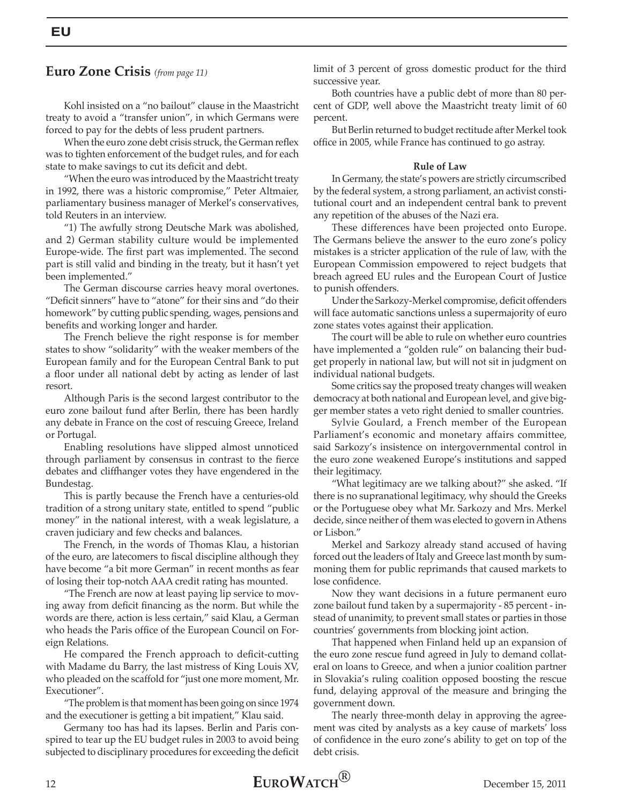### **Euro Zone Crisis** *(from page 11)*

Kohl insisted on a "no bailout" clause in the Maastricht treaty to avoid a "transfer union", in which Germans were forced to pay for the debts of less prudent partners.

When the euro zone debt crisis struck, the German reflex was to tighten enforcement of the budget rules, and for each state to make savings to cut its deficit and debt.

"When the euro was introduced by the Maastricht treaty in 1992, there was a historic compromise," Peter Altmaier, parliamentary business manager of Merkel's conservatives, told Reuters in an interview.

"1) The awfully strong Deutsche Mark was abolished, and 2) German stability culture would be implemented Europe-wide. The first part was implemented. The second part is still valid and binding in the treaty, but it hasn't yet been implemented."

The German discourse carries heavy moral overtones. "Deficit sinners" have to "atone" for their sins and "do their homework" by cutting public spending, wages, pensions and benefits and working longer and harder.

The French believe the right response is for member states to show "solidarity" with the weaker members of the European family and for the European Central Bank to put a floor under all national debt by acting as lender of last resort.

Although Paris is the second largest contributor to the euro zone bailout fund after Berlin, there has been hardly any debate in France on the cost of rescuing Greece, Ireland or Portugal.

Enabling resolutions have slipped almost unnoticed through parliament by consensus in contrast to the fierce debates and cliffhanger votes they have engendered in the Bundestag.

This is partly because the French have a centuries-old tradition of a strong unitary state, entitled to spend "public money" in the national interest, with a weak legislature, a craven judiciary and few checks and balances.

The French, in the words of Thomas Klau, a historian of the euro, are latecomers to fiscal discipline although they have become "a bit more German" in recent months as fear of losing their top-notch AAA credit rating has mounted.

"The French are now at least paying lip service to moving away from deficit financing as the norm. But while the words are there, action is less certain," said Klau, a German who heads the Paris office of the European Council on Foreign Relations.

He compared the French approach to deficit-cutting with Madame du Barry, the last mistress of King Louis XV, who pleaded on the scaffold for "just one more moment, Mr. Executioner".

"The problem is that moment has been going on since 1974 and the executioner is getting a bit impatient," Klau said.

Germany too has had its lapses. Berlin and Paris conspired to tear up the EU budget rules in 2003 to avoid being subjected to disciplinary procedures for exceeding the deficit

limit of 3 percent of gross domestic product for the third successive year.

Both countries have a public debt of more than 80 percent of GDP, well above the Maastricht treaty limit of 60 percent.

But Berlin returned to budget rectitude after Merkel took office in 2005, while France has continued to go astray.

#### **Rule of Law**

In Germany, the state's powers are strictly circumscribed by the federal system, a strong parliament, an activist constitutional court and an independent central bank to prevent any repetition of the abuses of the Nazi era.

These differences have been projected onto Europe. The Germans believe the answer to the euro zone's policy mistakes is a stricter application of the rule of law, with the European Commission empowered to reject budgets that breach agreed EU rules and the European Court of Justice to punish offenders.

Under the Sarkozy-Merkel compromise, deficit offenders will face automatic sanctions unless a supermajority of euro zone states votes against their application.

The court will be able to rule on whether euro countries have implemented a "golden rule" on balancing their budget properly in national law, but will not sit in judgment on individual national budgets.

Some critics say the proposed treaty changes will weaken democracy at both national and European level, and give bigger member states a veto right denied to smaller countries.

Sylvie Goulard, a French member of the European Parliament's economic and monetary affairs committee, said Sarkozy's insistence on intergovernmental control in the euro zone weakened Europe's institutions and sapped their legitimacy.

"What legitimacy are we talking about?" she asked. "If there is no supranational legitimacy, why should the Greeks or the Portuguese obey what Mr. Sarkozy and Mrs. Merkel decide, since neither of them was elected to govern in Athens or Lisbon."

Merkel and Sarkozy already stand accused of having forced out the leaders of Italy and Greece last month by summoning them for public reprimands that caused markets to lose confidence.

Now they want decisions in a future permanent euro zone bailout fund taken by a supermajority - 85 percent - instead of unanimity, to prevent small states or parties in those countries' governments from blocking joint action.

That happened when Finland held up an expansion of the euro zone rescue fund agreed in July to demand collateral on loans to Greece, and when a junior coalition partner in Slovakia's ruling coalition opposed boosting the rescue fund, delaying approval of the measure and bringing the government down.

The nearly three-month delay in approving the agreement was cited by analysts as a key cause of markets' loss of confidence in the euro zone's ability to get on top of the debt crisis.

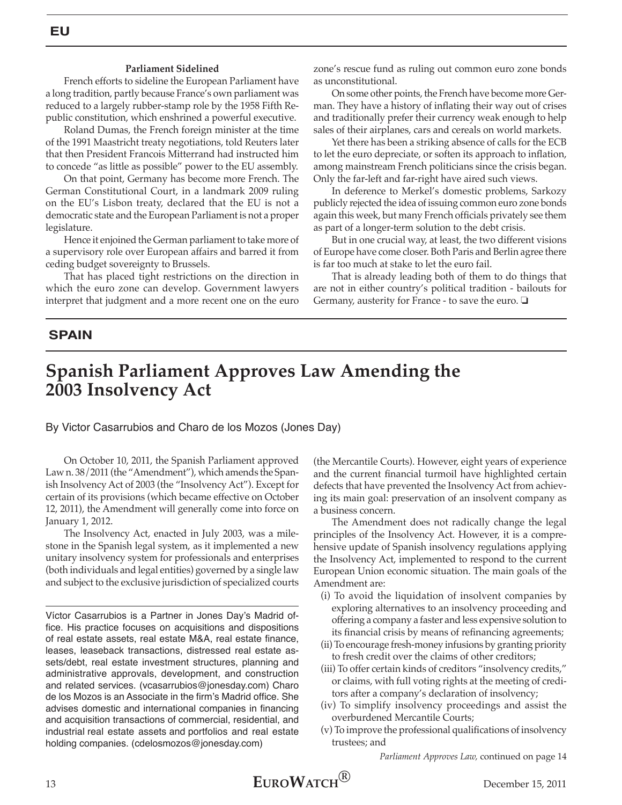#### **Parliament Sidelined**

French efforts to sideline the European Parliament have a long tradition, partly because France's own parliament was reduced to a largely rubber-stamp role by the 1958 Fifth Republic constitution, which enshrined a powerful executive.

Roland Dumas, the French foreign minister at the time of the 1991 Maastricht treaty negotiations, told Reuters later that then President Francois Mitterrand had instructed him to concede "as little as possible" power to the EU assembly.

On that point, Germany has become more French. The German Constitutional Court, in a landmark 2009 ruling on the EU's Lisbon treaty, declared that the EU is not a democratic state and the European Parliament is not a proper legislature.

Hence it enjoined the German parliament to take more of a supervisory role over European affairs and barred it from ceding budget sovereignty to Brussels.

That has placed tight restrictions on the direction in which the euro zone can develop. Government lawyers interpret that judgment and a more recent one on the euro

zone's rescue fund as ruling out common euro zone bonds as unconstitutional.

On some other points, the French have become more German. They have a history of inflating their way out of crises and traditionally prefer their currency weak enough to help sales of their airplanes, cars and cereals on world markets.

Yet there has been a striking absence of calls for the ECB to let the euro depreciate, or soften its approach to inflation, among mainstream French politicians since the crisis began. Only the far-left and far-right have aired such views.

In deference to Merkel's domestic problems, Sarkozy publicly rejected the idea of issuing common euro zone bonds again this week, but many French officials privately see them as part of a longer-term solution to the debt crisis.

But in one crucial way, at least, the two different visions of Europe have come closer. Both Paris and Berlin agree there is far too much at stake to let the euro fail.

That is already leading both of them to do things that are not in either country's political tradition - bailouts for Germany, austerity for France - to save the euro.  $\Box$ 

### **Spain**

# **Spanish Parliament Approves Law Amending the 2003 Insolvency Act**

By Victor Casarrubios and Charo de los Mozos (Jones Day)

On October 10, 2011, the Spanish Parliament approved Law n. 38/2011 (the "Amendment"), which amends the Spanish Insolvency Act of 2003 (the "Insolvency Act"). Except for certain of its provisions (which became effective on October 12, 2011), the Amendment will generally come into force on January 1, 2012.

The Insolvency Act, enacted in July 2003, was a milestone in the Spanish legal system, as it implemented a new unitary insolvency system for professionals and enterprises (both individuals and legal entities) governed by a single law and subject to the exclusive jurisdiction of specialized courts

Víctor Casarrubios is a Partner in Jones Day's Madrid office. His practice focuses on acquisitions and dispositions of real estate assets, real estate M&A, real estate finance, leases, leaseback transactions, distressed real estate assets/debt, real estate investment structures, planning and administrative approvals, development, and construction and related services. (vcasarrubios@jonesday.com) Charo de los Mozos is an Associate in the firm's Madrid office. She advises domestic and international companies in financing and acquisition transactions of commercial, residential, and industrial real estate assets and portfolios and real estate holding companies. (cdelosmozos@jonesday.com)

(the Mercantile Courts). However, eight years of experience and the current financial turmoil have highlighted certain defects that have prevented the Insolvency Act from achieving its main goal: preservation of an insolvent company as a business concern.

The Amendment does not radically change the legal principles of the Insolvency Act. However, it is a comprehensive update of Spanish insolvency regulations applying the Insolvency Act, implemented to respond to the current European Union economic situation. The main goals of the Amendment are:

- (i) To avoid the liquidation of insolvent companies by exploring alternatives to an insolvency proceeding and offering a company a faster and less expensive solution to its financial crisis by means of refinancing agreements;
- (ii) To encourage fresh-money infusions by granting priority to fresh credit over the claims of other creditors;
- (iii) To offer certain kinds of creditors "insolvency credits," or claims, with full voting rights at the meeting of creditors after a company's declaration of insolvency;
- (iv) To simplify insolvency proceedings and assist the overburdened Mercantile Courts;
- (v) To improve the professional qualifications of insolvency trustees; and

*Parliament Approves Law,* continued on page 14

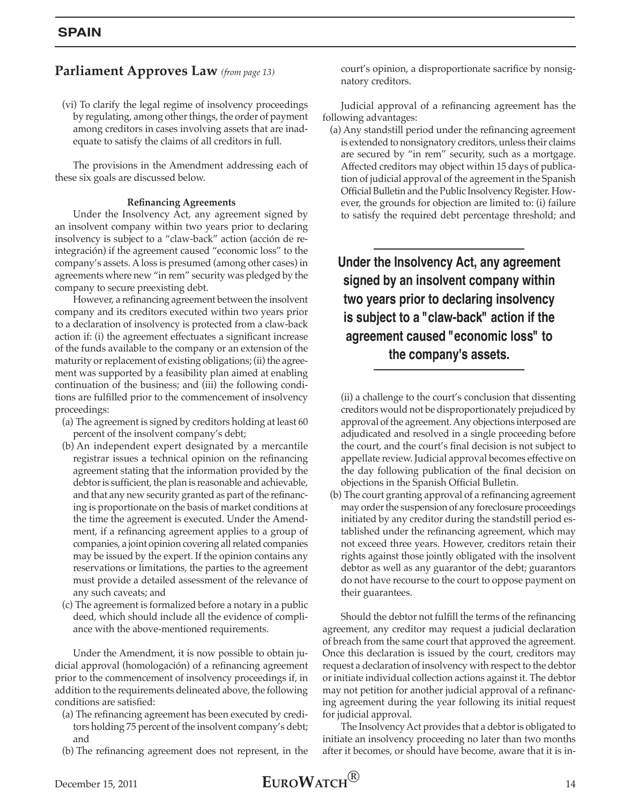# **Parliament Approves Law** *(from page 13)*

(vi) To clarify the legal regime of insolvency proceedings by regulating, among other things, the order of payment among creditors in cases involving assets that are inadequate to satisfy the claims of all creditors in full.

The provisions in the Amendment addressing each of these six goals are discussed below.

### **Refinancing Agreements**

Under the Insolvency Act, any agreement signed by an insolvent company within two years prior to declaring insolvency is subject to a "claw-back" action (acción de reintegración) if the agreement caused "economic loss" to the company's assets. A loss is presumed (among other cases) in agreements where new "in rem" security was pledged by the company to secure preexisting debt.

However, a refinancing agreement between the insolvent company and its creditors executed within two years prior to a declaration of insolvency is protected from a claw-back action if: (i) the agreement effectuates a significant increase of the funds available to the company or an extension of the maturity or replacement of existing obligations; (ii) the agreement was supported by a feasibility plan aimed at enabling continuation of the business; and (iii) the following conditions are fulfilled prior to the commencement of insolvency proceedings:

- (a) The agreement is signed by creditors holding at least 60 percent of the insolvent company's debt;
- (b) An independent expert designated by a mercantile registrar issues a technical opinion on the refinancing agreement stating that the information provided by the debtor is sufficient, the plan is reasonable and achievable, and that any new security granted as part of the refinancing is proportionate on the basis of market conditions at the time the agreement is executed. Under the Amendment, if a refinancing agreement applies to a group of companies, a joint opinion covering all related companies may be issued by the expert. If the opinion contains any reservations or limitations, the parties to the agreement must provide a detailed assessment of the relevance of any such caveats; and
- (c) The agreement is formalized before a notary in a public deed, which should include all the evidence of compliance with the above-mentioned requirements.

Under the Amendment, it is now possible to obtain judicial approval (homologación) of a refinancing agreement prior to the commencement of insolvency proceedings if, in addition to the requirements delineated above, the following conditions are satisfied:

(a) The refinancing agreement has been executed by creditors holding 75 percent of the insolvent company's debt; and

(b) The refinancing agreement does not represent, in the

court's opinion, a disproportionate sacrifice by nonsignatory creditors.

Judicial approval of a refinancing agreement has the following advantages:

(a) Any standstill period under the refinancing agreement is extended to nonsignatory creditors, unless their claims are secured by "in rem" security, such as a mortgage. Affected creditors may object within 15 days of publication of judicial approval of the agreement in the Spanish Official Bulletin and the Public Insolvency Register. However, the grounds for objection are limited to: (i) failure to satisfy the required debt percentage threshold; and

**Under the Insolvency Act, any agreement signed by an insolvent company within two years prior to declaring insolvency is subject to a "claw-back" action if the agreement caused "economic loss" to the company's assets.**

(ii) a challenge to the court's conclusion that dissenting creditors would not be disproportionately prejudiced by approval of the agreement. Any objections interposed are adjudicated and resolved in a single proceeding before the court, and the court's final decision is not subject to appellate review. Judicial approval becomes effective on the day following publication of the final decision on objections in the Spanish Official Bulletin.

(b) The court granting approval of a refinancing agreement may order the suspension of any foreclosure proceedings initiated by any creditor during the standstill period established under the refinancing agreement, which may not exceed three years. However, creditors retain their rights against those jointly obligated with the insolvent debtor as well as any guarantor of the debt; guarantors do not have recourse to the court to oppose payment on their guarantees.

Should the debtor not fulfill the terms of the refinancing agreement, any creditor may request a judicial declaration of breach from the same court that approved the agreement. Once this declaration is issued by the court, creditors may request a declaration of insolvency with respect to the debtor or initiate individual collection actions against it. The debtor may not petition for another judicial approval of a refinancing agreement during the year following its initial request for judicial approval.

The Insolvency Act provides that a debtor is obligated to initiate an insolvency proceeding no later than two months after it becomes, or should have become, aware that it is in-

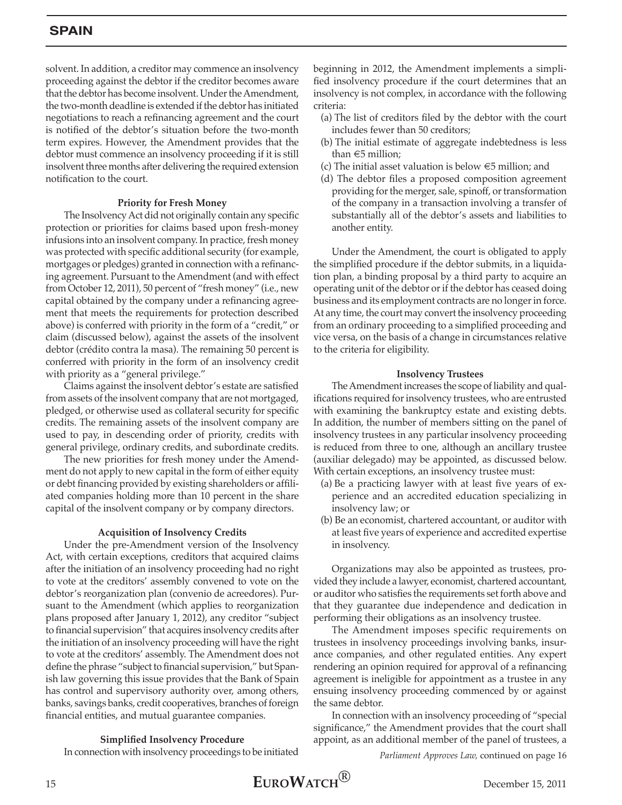solvent. In addition, a creditor may commence an insolvency proceeding against the debtor if the creditor becomes aware that the debtor has become insolvent. Under the Amendment, the two-month deadline is extended if the debtor has initiated negotiations to reach a refinancing agreement and the court is notified of the debtor's situation before the two-month term expires. However, the Amendment provides that the debtor must commence an insolvency proceeding if it is still insolvent three months after delivering the required extension notification to the court.

### **Priority for Fresh Money**

The Insolvency Act did not originally contain any specific protection or priorities for claims based upon fresh-money infusions into an insolvent company. In practice, fresh money was protected with specific additional security (for example, mortgages or pledges) granted in connection with a refinancing agreement. Pursuant to the Amendment (and with effect from October 12, 2011), 50 percent of "fresh money" (i.e., new capital obtained by the company under a refinancing agreement that meets the requirements for protection described above) is conferred with priority in the form of a "credit," or claim (discussed below), against the assets of the insolvent debtor (crédito contra la masa). The remaining 50 percent is conferred with priority in the form of an insolvency credit with priority as a "general privilege."

Claims against the insolvent debtor's estate are satisfied from assets of the insolvent company that are not mortgaged, pledged, or otherwise used as collateral security for specific credits. The remaining assets of the insolvent company are used to pay, in descending order of priority, credits with general privilege, ordinary credits, and subordinate credits.

The new priorities for fresh money under the Amendment do not apply to new capital in the form of either equity or debt financing provided by existing shareholders or affiliated companies holding more than 10 percent in the share capital of the insolvent company or by company directors.

#### **Acquisition of Insolvency Credits**

Under the pre-Amendment version of the Insolvency Act, with certain exceptions, creditors that acquired claims after the initiation of an insolvency proceeding had no right to vote at the creditors' assembly convened to vote on the debtor's reorganization plan (convenio de acreedores). Pursuant to the Amendment (which applies to reorganization plans proposed after January 1, 2012), any creditor "subject to financial supervision" that acquires insolvency credits after the initiation of an insolvency proceeding will have the right to vote at the creditors' assembly. The Amendment does not define the phrase "subject to financial supervision," but Spanish law governing this issue provides that the Bank of Spain has control and supervisory authority over, among others, banks, savings banks, credit cooperatives, branches of foreign financial entities, and mutual guarantee companies.

#### **Simplified Insolvency Procedure**

In connection with insolvency proceedings to be initiated

beginning in 2012, the Amendment implements a simplified insolvency procedure if the court determines that an insolvency is not complex, in accordance with the following criteria:

- (a) The list of creditors filed by the debtor with the court includes fewer than 50 creditors;
- (b) The initial estimate of aggregate indebtedness is less than  $\epsilon$ 5 million;
- (c) The initial asset valuation is below  $\epsilon$ 5 million; and
- (d) The debtor files a proposed composition agreement providing for the merger, sale, spinoff, or transformation of the company in a transaction involving a transfer of substantially all of the debtor's assets and liabilities to another entity.

Under the Amendment, the court is obligated to apply the simplified procedure if the debtor submits, in a liquidation plan, a binding proposal by a third party to acquire an operating unit of the debtor or if the debtor has ceased doing business and its employment contracts are no longer in force. At any time, the court may convert the insolvency proceeding from an ordinary proceeding to a simplified proceeding and vice versa, on the basis of a change in circumstances relative to the criteria for eligibility.

#### **Insolvency Trustees**

The Amendment increases the scope of liability and qualifications required for insolvency trustees, who are entrusted with examining the bankruptcy estate and existing debts. In addition, the number of members sitting on the panel of insolvency trustees in any particular insolvency proceeding is reduced from three to one, although an ancillary trustee (auxiliar delegado) may be appointed, as discussed below. With certain exceptions, an insolvency trustee must:

- (a) Be a practicing lawyer with at least five years of experience and an accredited education specializing in insolvency law; or
- (b) Be an economist, chartered accountant, or auditor with at least five years of experience and accredited expertise in insolvency.

Organizations may also be appointed as trustees, provided they include a lawyer, economist, chartered accountant, or auditor who satisfies the requirements set forth above and that they guarantee due independence and dedication in performing their obligations as an insolvency trustee.

The Amendment imposes specific requirements on trustees in insolvency proceedings involving banks, insurance companies, and other regulated entities. Any expert rendering an opinion required for approval of a refinancing agreement is ineligible for appointment as a trustee in any ensuing insolvency proceeding commenced by or against the same debtor.

In connection with an insolvency proceeding of "special significance," the Amendment provides that the court shall appoint, as an additional member of the panel of trustees, a

*Parliament Approves Law,* continued on page 16

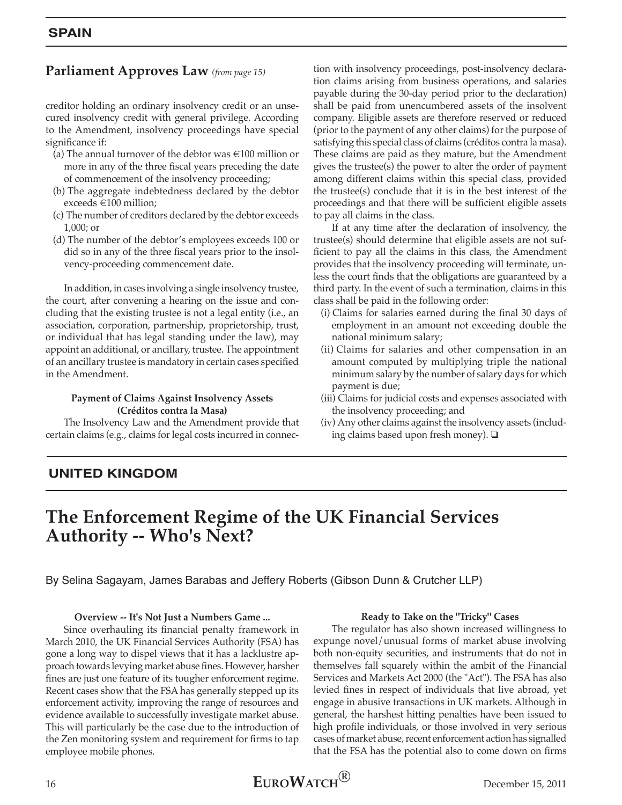### **Spain**

### **Parliament Approves Law** *(from page 15)*

creditor holding an ordinary insolvency credit or an unsecured insolvency credit with general privilege. According to the Amendment, insolvency proceedings have special significance if:

- (a) The annual turnover of the debtor was  $\in$ 100 million or more in any of the three fiscal years preceding the date of commencement of the insolvency proceeding;
- (b) The aggregate indebtedness declared by the debtor exceeds €100 million;
- (c) The number of creditors declared by the debtor exceeds 1,000; or
- (d) The number of the debtor's employees exceeds 100 or did so in any of the three fiscal years prior to the insolvency-proceeding commencement date.

In addition, in cases involving a single insolvency trustee, the court, after convening a hearing on the issue and concluding that the existing trustee is not a legal entity (i.e., an association, corporation, partnership, proprietorship, trust, or individual that has legal standing under the law), may appoint an additional, or ancillary, trustee. The appointment of an ancillary trustee is mandatory in certain cases specified in the Amendment.

### **Payment of Claims Against Insolvency Assets (Créditos contra la Masa)**

The Insolvency Law and the Amendment provide that certain claims (e.g., claims for legal costs incurred in connection with insolvency proceedings, post-insolvency declaration claims arising from business operations, and salaries payable during the 30-day period prior to the declaration) shall be paid from unencumbered assets of the insolvent company. Eligible assets are therefore reserved or reduced (prior to the payment of any other claims) for the purpose of satisfying this special class of claims (créditos contra la masa). These claims are paid as they mature, but the Amendment gives the trustee(s) the power to alter the order of payment among different claims within this special class, provided the trustee(s) conclude that it is in the best interest of the proceedings and that there will be sufficient eligible assets to pay all claims in the class.

If at any time after the declaration of insolvency, the trustee(s) should determine that eligible assets are not sufficient to pay all the claims in this class, the Amendment provides that the insolvency proceeding will terminate, unless the court finds that the obligations are guaranteed by a third party. In the event of such a termination, claims in this class shall be paid in the following order:

- (i) Claims for salaries earned during the final 30 days of employment in an amount not exceeding double the national minimum salary;
- (ii) Claims for salaries and other compensation in an amount computed by multiplying triple the national minimum salary by the number of salary days for which payment is due;
- (iii) Claims for judicial costs and expenses associated with the insolvency proceeding; and
- (iv) Any other claims against the insolvency assets (including claims based upon fresh money).  $\Box$

# **United Kingdom**

# **The Enforcement Regime of the UK Financial Services Authority -- Who's Next?**

By Selina Sagayam, James Barabas and Jeffery Roberts (Gibson Dunn & Crutcher LLP)

### **Overview -- It's Not Just a Numbers Game ...**

Since overhauling its financial penalty framework in March 2010, the UK Financial Services Authority (FSA) has gone a long way to dispel views that it has a lacklustre approach towards levying market abuse fines. However, harsher fines are just one feature of its tougher enforcement regime. Recent cases show that the FSA has generally stepped up its enforcement activity, improving the range of resources and evidence available to successfully investigate market abuse. This will particularly be the case due to the introduction of the Zen monitoring system and requirement for firms to tap employee mobile phones.

### **Ready to Take on the "Tricky" Cases**

The regulator has also shown increased willingness to expunge novel/unusual forms of market abuse involving both non-equity securities, and instruments that do not in themselves fall squarely within the ambit of the Financial Services and Markets Act 2000 (the "Act"). The FSA has also levied fines in respect of individuals that live abroad, yet engage in abusive transactions in UK markets. Although in general, the harshest hitting penalties have been issued to high profile individuals, or those involved in very serious cases of market abuse, recent enforcement action has signalled that the FSA has the potential also to come down on firms

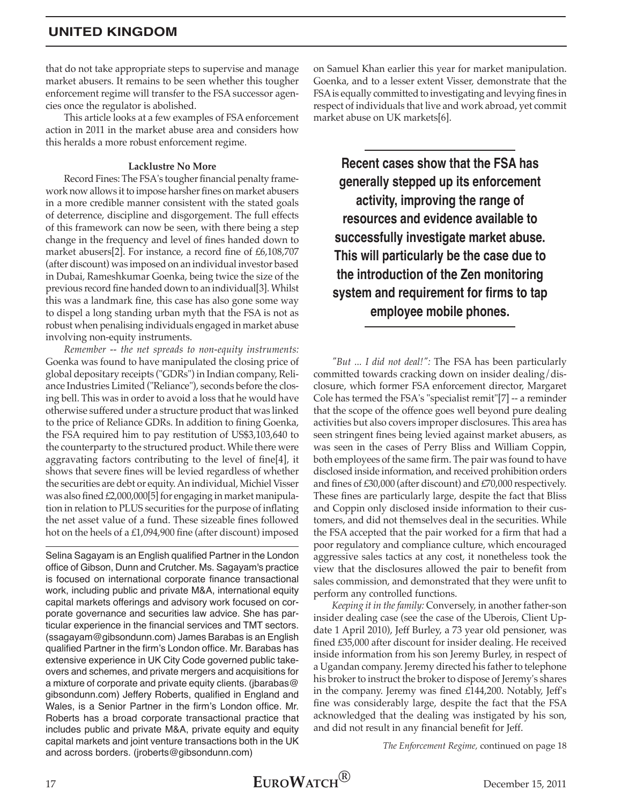### **United Kingdom**

that do not take appropriate steps to supervise and manage market abusers. It remains to be seen whether this tougher enforcement regime will transfer to the FSA successor agencies once the regulator is abolished.

This article looks at a few examples of FSA enforcement action in 2011 in the market abuse area and considers how this heralds a more robust enforcement regime.

### **Lacklustre No More**

Record Fines: The FSA's tougher financial penalty framework now allows it to impose harsher fines on market abusers in a more credible manner consistent with the stated goals of deterrence, discipline and disgorgement. The full effects of this framework can now be seen, with there being a step change in the frequency and level of fines handed down to market abusers[2]. For instance, a record fine of £6,108,707 (after discount) was imposed on an individual investor based in Dubai, Rameshkumar Goenka, being twice the size of the previous record fine handed down to an individual[3]. Whilst this was a landmark fine, this case has also gone some way to dispel a long standing urban myth that the FSA is not as robust when penalising individuals engaged in market abuse involving non-equity instruments.

*Remember -- the net spreads to non-equity instruments:* Goenka was found to have manipulated the closing price of global depositary receipts ("GDRs") in Indian company, Reliance Industries Limited ("Reliance"), seconds before the closing bell. This was in order to avoid a loss that he would have otherwise suffered under a structure product that was linked to the price of Reliance GDRs. In addition to fining Goenka, the FSA required him to pay restitution of US\$3,103,640 to the counterparty to the structured product. While there were aggravating factors contributing to the level of fine[4], it shows that severe fines will be levied regardless of whether the securities are debt or equity. An individual, Michiel Visser was also fined £2,000,000[5] for engaging in market manipulation in relation to PLUS securities for the purpose of inflating the net asset value of a fund. These sizeable fines followed hot on the heels of a £1,094,900 fine (after discount) imposed

Selina Sagayam is an English qualified Partner in the London office of Gibson, Dunn and Crutcher. Ms. Sagayam's practice is focused on international corporate finance transactional work, including public and private M&A, international equity capital markets offerings and advisory work focused on corporate governance and securities law advice. She has particular experience in the financial services and TMT sectors. (ssagayam@gibsondunn.com) James Barabas is an English qualified Partner in the firm's London office. Mr. Barabas has extensive experience in UK City Code governed public takeovers and schemes, and private mergers and acquisitions for a mixture of corporate and private equity clients. (jbarabas@ gibsondunn.com) Jeffery Roberts, qualified in England and Wales, is a Senior Partner in the firm's London office. Mr. Roberts has a broad corporate transactional practice that includes public and private M&A, private equity and equity capital markets and joint venture transactions both in the UK and across borders. (jroberts@gibsondunn.com)

on Samuel Khan earlier this year for market manipulation. Goenka, and to a lesser extent Visser, demonstrate that the FSA is equally committed to investigating and levying fines in respect of individuals that live and work abroad, yet commit market abuse on UK markets[6].

**Recent cases show that the FSA has generally stepped up its enforcement activity, improving the range of resources and evidence available to successfully investigate market abuse. This will particularly be the case due to the introduction of the Zen monitoring system and requirement for firms to tap employee mobile phones.** 

*"But ... I did not deal!":* The FSA has been particularly committed towards cracking down on insider dealing/disclosure, which former FSA enforcement director, Margaret Cole has termed the FSA's "specialist remit"[7] -- a reminder that the scope of the offence goes well beyond pure dealing activities but also covers improper disclosures. This area has seen stringent fines being levied against market abusers, as was seen in the cases of Perry Bliss and William Coppin, both employees of the same firm. The pair was found to have disclosed inside information, and received prohibition orders and fines of £30,000 (after discount) and £70,000 respectively. These fines are particularly large, despite the fact that Bliss and Coppin only disclosed inside information to their customers, and did not themselves deal in the securities. While the FSA accepted that the pair worked for a firm that had a poor regulatory and compliance culture, which encouraged aggressive sales tactics at any cost, it nonetheless took the view that the disclosures allowed the pair to benefit from sales commission, and demonstrated that they were unfit to perform any controlled functions.

*Keeping it in the family:* Conversely, in another father-son insider dealing case (see the case of the Uberois, Client Update 1 April 2010), Jeff Burley, a 73 year old pensioner, was fined £35,000 after discount for insider dealing. He received inside information from his son Jeremy Burley, in respect of a Ugandan company. Jeremy directed his father to telephone his broker to instruct the broker to dispose of Jeremy's shares in the company. Jeremy was fined £144,200. Notably, Jeff's fine was considerably large, despite the fact that the FSA acknowledged that the dealing was instigated by his son, and did not result in any financial benefit for Jeff.

*The Enforcement Regime,* continued on page 18

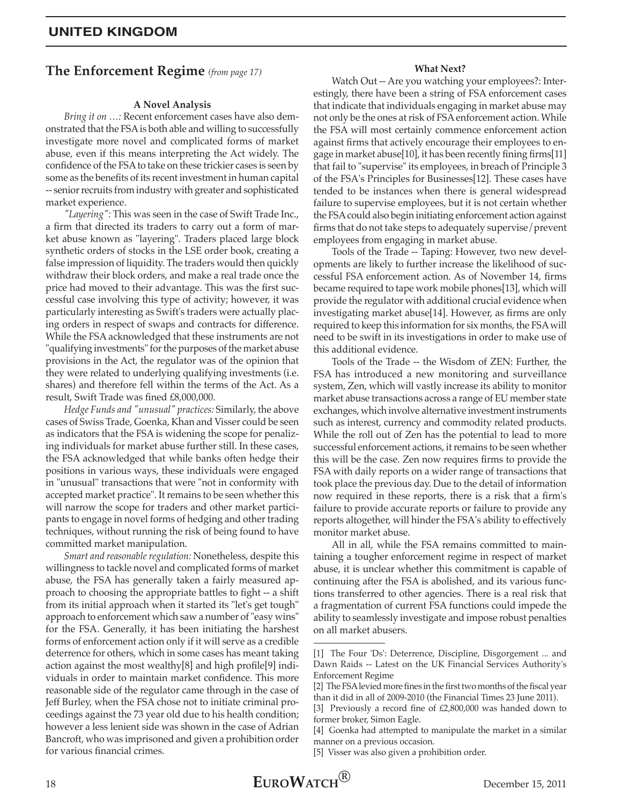### **The Enforcement Regime** *(from page 17)*

### **A Novel Analysis**

*Bring it on* ...: Recent enforcement cases have also demonstrated that the FSA is both able and willing to successfully investigate more novel and complicated forms of market abuse, even if this means interpreting the Act widely. The confidence of the FSA to take on these trickier cases is seen by some as the benefits of its recent investment in human capital -- senior recruits from industry with greater and sophisticated market experience.

*"Layering":* This was seen in the case of Swift Trade Inc., a firm that directed its traders to carry out a form of market abuse known as "layering". Traders placed large block synthetic orders of stocks in the LSE order book, creating a false impression of liquidity. The traders would then quickly withdraw their block orders, and make a real trade once the price had moved to their advantage. This was the first successful case involving this type of activity; however, it was particularly interesting as Swift's traders were actually placing orders in respect of swaps and contracts for difference. While the FSA acknowledged that these instruments are not "qualifying investments" for the purposes of the market abuse provisions in the Act, the regulator was of the opinion that they were related to underlying qualifying investments (i.e. shares) and therefore fell within the terms of the Act. As a result, Swift Trade was fined £8,000,000.

*Hedge Funds and "unusual" practices:* Similarly, the above cases of Swiss Trade, Goenka, Khan and Visser could be seen as indicators that the FSA is widening the scope for penalizing individuals for market abuse further still. In these cases, the FSA acknowledged that while banks often hedge their positions in various ways, these individuals were engaged in "unusual" transactions that were "not in conformity with accepted market practice". It remains to be seen whether this will narrow the scope for traders and other market participants to engage in novel forms of hedging and other trading techniques, without running the risk of being found to have committed market manipulation.

*Smart and reasonable regulation:* Nonetheless, despite this willingness to tackle novel and complicated forms of market abuse, the FSA has generally taken a fairly measured approach to choosing the appropriate battles to fight -- a shift from its initial approach when it started its "let's get tough" approach to enforcement which saw a number of "easy wins" for the FSA. Generally, it has been initiating the harshest forms of enforcement action only if it will serve as a credible deterrence for others, which in some cases has meant taking action against the most wealthy[8] and high profile[9] individuals in order to maintain market confidence. This more reasonable side of the regulator came through in the case of Jeff Burley, when the FSA chose not to initiate criminal proceedings against the 73 year old due to his health condition; however a less lenient side was shown in the case of Adrian Bancroft, who was imprisoned and given a prohibition order for various financial crimes.

#### **What Next?**

Watch Out -- Are you watching your employees?: Interestingly, there have been a string of FSA enforcement cases that indicate that individuals engaging in market abuse may not only be the ones at risk of FSA enforcement action. While the FSA will most certainly commence enforcement action against firms that actively encourage their employees to engage in market abuse[10], it has been recently fining firms[11] that fail to "supervise" its employees, in breach of Principle 3 of the FSA's Principles for Businesses[12]. These cases have tended to be instances when there is general widespread failure to supervise employees, but it is not certain whether the FSA could also begin initiating enforcement action against firms that do not take steps to adequately supervise/prevent employees from engaging in market abuse.

Tools of the Trade -- Taping: However, two new developments are likely to further increase the likelihood of successful FSA enforcement action. As of November 14, firms became required to tape work mobile phones[13], which will provide the regulator with additional crucial evidence when investigating market abuse[14]. However, as firms are only required to keep this information for six months, the FSA will need to be swift in its investigations in order to make use of this additional evidence.

Tools of the Trade -- the Wisdom of ZEN: Further, the FSA has introduced a new monitoring and surveillance system, Zen, which will vastly increase its ability to monitor market abuse transactions across a range of EU member state exchanges, which involve alternative investment instruments such as interest, currency and commodity related products. While the roll out of Zen has the potential to lead to more successful enforcement actions, it remains to be seen whether this will be the case. Zen now requires firms to provide the FSA with daily reports on a wider range of transactions that took place the previous day. Due to the detail of information now required in these reports, there is a risk that a firm's failure to provide accurate reports or failure to provide any reports altogether, will hinder the FSA's ability to effectively monitor market abuse.

All in all, while the FSA remains committed to maintaining a tougher enforcement regime in respect of market abuse, it is unclear whether this commitment is capable of continuing after the FSA is abolished, and its various functions transferred to other agencies. There is a real risk that a fragmentation of current FSA functions could impede the ability to seamlessly investigate and impose robust penalties on all market abusers.

<sup>[1]</sup> The Four 'Ds': Deterrence, Discipline, Disgorgement ... and Dawn Raids -- Latest on the UK Financial Services Authority's Enforcement Regime

<sup>[2]</sup> The FSA levied more fines in the first two months of the fiscal year than it did in all of 2009-2010 (the Financial Times 23 June 2011).

<sup>[3]</sup> Previously a record fine of £2,800,000 was handed down to former broker, Simon Eagle.

<sup>[4]</sup> Goenka had attempted to manipulate the market in a similar manner on a previous occasion.

<sup>[5]</sup> Visser was also given a prohibition order.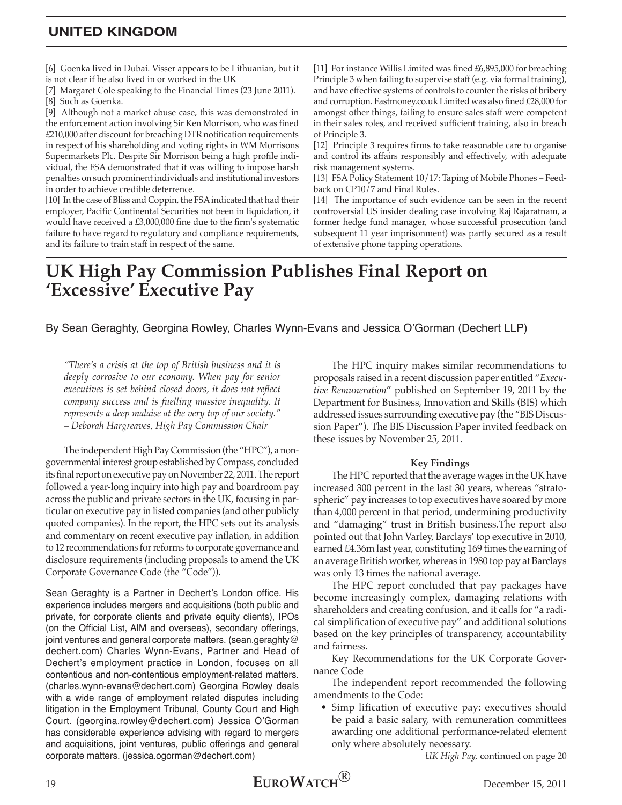# **United Kingdom**

[6] Goenka lived in Dubai. Visser appears to be Lithuanian, but it is not clear if he also lived in or worked in the UK

[7] Margaret Cole speaking to the Financial Times (23 June 2011). [8] Such as Goenka.

[9] Although not a market abuse case, this was demonstrated in the enforcement action involving Sir Ken Morrison, who was fined £210,000 after discount for breaching DTR notification requirements in respect of his shareholding and voting rights in WM Morrisons Supermarkets Plc. Despite Sir Morrison being a high profile individual, the FSA demonstrated that it was willing to impose harsh penalties on such prominent individuals and institutional investors in order to achieve credible deterrence.

[10] In the case of Bliss and Coppin, the FSA indicated that had their employer, Pacific Continental Securities not been in liquidation, it would have received a £3,000,000 fine due to the firm's systematic failure to have regard to regulatory and compliance requirements, and its failure to train staff in respect of the same.

[11] For instance Willis Limited was fined £6,895,000 for breaching Principle 3 when failing to supervise staff (e.g. via formal training), and have effective systems of controls to counter the risks of bribery and corruption. Fastmoney.co.uk Limited was also fined £28,000 for amongst other things, failing to ensure sales staff were competent in their sales roles, and received sufficient training, also in breach of Principle 3.

[12] Principle 3 requires firms to take reasonable care to organise and control its affairs responsibly and effectively, with adequate risk management systems.

[13] FSA Policy Statement 10/17: Taping of Mobile Phones – Feedback on CP10/7 and Final Rules.

[14] The importance of such evidence can be seen in the recent controversial US insider dealing case involving Raj Rajaratnam, a former hedge fund manager, whose successful prosecution (and subsequent 11 year imprisonment) was partly secured as a result of extensive phone tapping operations.

# **UK High Pay Commission Publishes Final Report on 'Excessive' Executive Pay**

By Sean Geraghty, Georgina Rowley, Charles Wynn-Evans and Jessica O'Gorman (Dechert LLP)

*"There's a crisis at the top of British business and it is deeply corrosive to our economy. When pay for senior executives is set behind closed doors, it does not reflect company success and is fuelling massive inequality. It represents a deep malaise at the very top of our society." – Deborah Hargreaves, High Pay Commission Chair*

The independent High Pay Commission (the "HPC"), a nongovernmental interest group established by Compass, concluded its final report on executive pay on November 22, 2011. The report followed a year-long inquiry into high pay and boardroom pay across the public and private sectors in the UK, focusing in particular on executive pay in listed companies (and other publicly quoted companies). In the report, the HPC sets out its analysis and commentary on recent executive pay inflation, in addition to 12 recommendations for reforms to corporate governance and disclosure requirements (including proposals to amend the UK Corporate Governance Code (the "Code")).

Sean Geraghty is a Partner in Dechert's London office. His experience includes mergers and acquisitions (both public and private, for corporate clients and private equity clients), IPOs (on the Official List, AIM and overseas), secondary offerings, joint ventures and general corporate matters. (sean.geraghty@ dechert.com) Charles Wynn-Evans, Partner and Head of Dechert's employment practice in London, focuses on all contentious and non-contentious employment-related matters. (charles.wynn-evans@dechert.com) Georgina Rowley deals with a wide range of employment related disputes including litigation in the Employment Tribunal, County Court and High Court. (georgina.rowley@dechert.com) Jessica O'Gorman has considerable experience advising with regard to mergers and acquisitions, joint ventures, public offerings and general corporate matters. (jessica.ogorman@dechert.com)

The HPC inquiry makes similar recommendations to proposals raised in a recent discussion paper entitled "*Executive Remuneration*" published on September 19, 2011 by the Department for Business, Innovation and Skills (BIS) which addressed issues surrounding executive pay (the "BIS Discussion Paper"). The BIS Discussion Paper invited feedback on these issues by November 25, 2011.

### **Key Findings**

The HPC reported that the average wages in the UK have increased 300 percent in the last 30 years, whereas "stratospheric" pay increases to top executives have soared by more than 4,000 percent in that period, undermining productivity and "damaging" trust in British business.The report also pointed out that John Varley, Barclays' top executive in 2010, earned £4.36m last year, constituting 169 times the earning of an average British worker, whereas in 1980 top pay at Barclays was only 13 times the national average.

The HPC report concluded that pay packages have become increasingly complex, damaging relations with shareholders and creating confusion, and it calls for "a radical simplification of executive pay" and additional solutions based on the key principles of transparency, accountability and fairness.

Key Recommendations for the UK Corporate Governance Code

The independent report recommended the following amendments to the Code:

• Simp lification of executive pay: executives should be paid a basic salary, with remuneration committees awarding one additional performance-related element only where absolutely necessary.

*UK High Pay,* continued on page 20